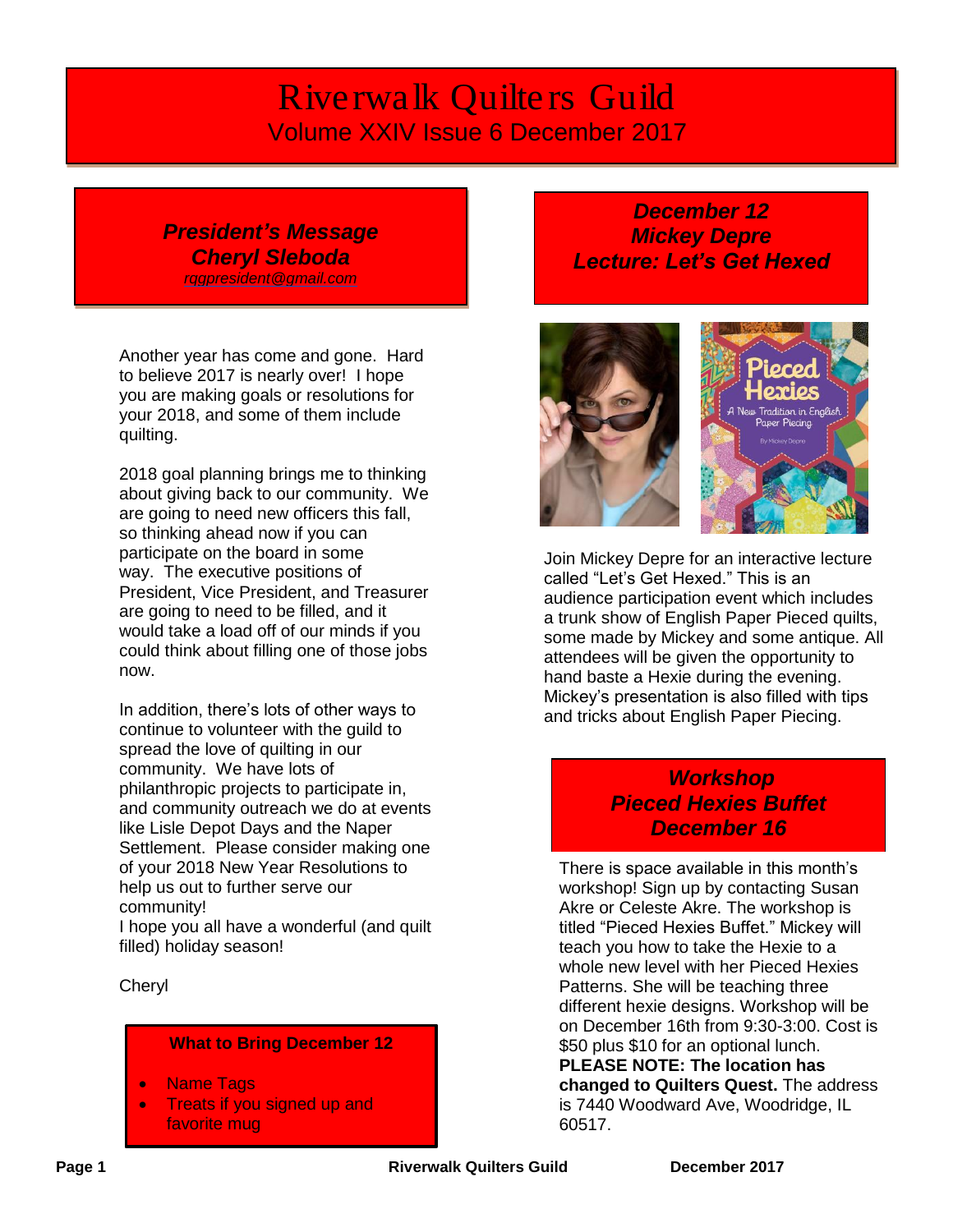# *Riverwalk Quilters Guild* Volume XXIV Issue 6 December 2017

### *President's Message Cheryl Sleboda [rqgpresident@gmail.com](mailto:rqgpresident@gmail.com)*

Another year has come and gone. Hard to believe 2017 is nearly over! I hope you are making goals or resolutions for your 2018, and some of them include quilting.

2018 goal planning brings me to thinking about giving back to our community. We are going to need new officers this fall, so thinking ahead now if you can participate on the board in some way. The executive positions of President, Vice President, and Treasurer are going to need to be filled, and it would take a load off of our minds if you could think about filling one of those jobs now.

In addition, there's lots of other ways to continue to volunteer with the guild to spread the love of quilting in our community. We have lots of philanthropic projects to participate in, and community outreach we do at events like Lisle Depot Days and the Naper Settlement. Please consider making one of your 2018 New Year Resolutions to help us out to further serve our community!

I hope you all have a wonderful (and quilt filled) holiday season!

Cheryl

#### **What to Bring December 12**

- Name Tags
- **Treats if you signed up and** favorite mug

# *December 12 Mickey Depre Lecture: Let's Get Hexed*



Join Mickey Depre for an interactive lecture called "Let's Get Hexed." This is an audience participation event which includes a trunk show of English Paper Pieced quilts, some made by Mickey and some antique. All attendees will be given the opportunity to hand baste a Hexie during the evening. Mickey's presentation is also filled with tips and tricks about English Paper Piecing.

# *Workshop Pieced Hexies Buffet December 16*

There is space available in this month's workshop! Sign up by contacting Susan Akre or Celeste Akre. The workshop is titled "Pieced Hexies Buffet." Mickey will teach you how to take the Hexie to a whole new level with her Pieced Hexies Patterns. She will be teaching three different hexie designs. Workshop will be on December 16th from 9:30-3:00. Cost is \$50 plus \$10 for an optional lunch. **PLEASE NOTE: The location has** 

**changed to Quilters Quest.** The address is 7440 Woodward Ave, Woodridge, IL 60517.

**Page 1 Constant Page 1 Riverwalk Quilters Guild December** 2017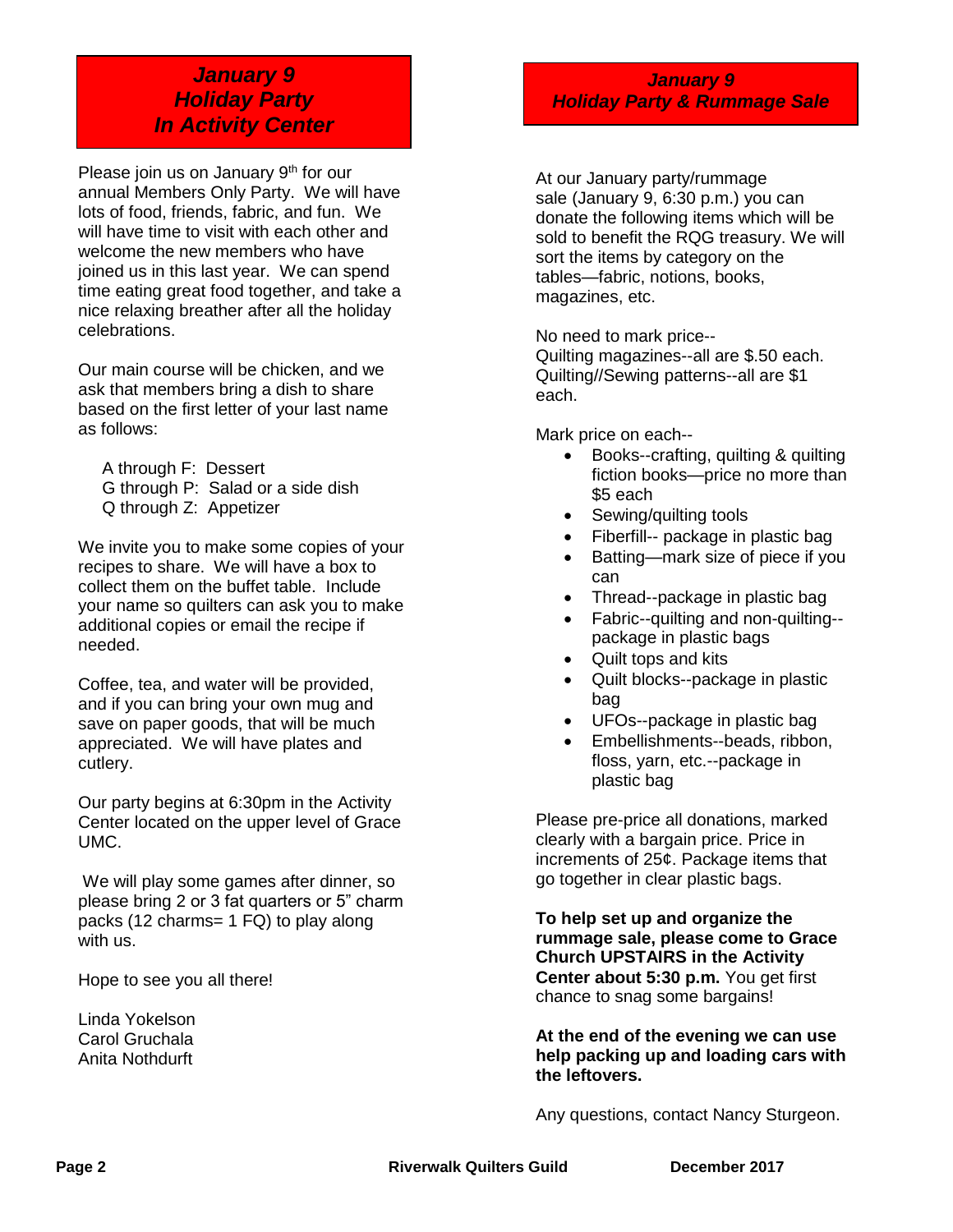# *January 9 Holiday Party In Activity Center*

Please join us on January 9<sup>th</sup> for our annual Members Only Party. We will have lots of food, friends, fabric, and fun. We will have time to visit with each other and welcome the new members who have joined us in this last year. We can spend time eating great food together, and take a nice relaxing breather after all the holiday celebrations.

Our main course will be chicken, and we ask that members bring a dish to share based on the first letter of your last name as follows:

A through F: Dessert G through P: Salad or a side dish Q through Z: Appetizer

We invite you to make some copies of your recipes to share. We will have a box to collect them on the buffet table. Include your name so quilters can ask you to make additional copies or email the recipe if needed.

Coffee, tea, and water will be provided, and if you can bring your own mug and save on paper goods, that will be much appreciated. We will have plates and cutlery.

Our party begins at 6:30pm in the Activity Center located on the upper level of Grace UMC.

We will play some games after dinner, so please bring 2 or 3 fat quarters or 5" charm packs (12 charms= 1 FQ) to play along with us.

Hope to see you all there!

Linda Yokelson Carol Gruchala Anita Nothdurft

*January 9 Holiday Party & Rummage Sale*

At our January party/rummage sale (January 9, 6:30 p.m.) you can donate the following items which will be sold to benefit the RQG treasury. We will sort the items by category on the tables—fabric, notions, books, magazines, etc.

No need to mark price-- Quilting magazines--all are \$.50 each. Quilting//Sewing patterns--all are \$1 each.

Mark price on each--

- Books--crafting, quilting & quilting fiction books—price no more than \$5 each
- Sewing/quilting tools
- Fiberfill-- package in plastic bag
- Batting—mark size of piece if you can
- Thread--package in plastic bag
- Fabric--quilting and non-quilting- package in plastic bags
- Quilt tops and kits
- Quilt blocks--package in plastic bag
- UFOs--package in plastic bag
- Embellishments--beads, ribbon, floss, yarn, etc.--package in plastic bag

Please pre-price all donations, marked clearly with a bargain price. Price in increments of 25¢. Package items that go together in clear plastic bags.

**To help set up and organize the rummage sale, please come to Grace Church UPSTAIRS in the Activity Center about 5:30 p.m.** You get first chance to snag some bargains!

**At the end of the evening we can use help packing up and loading cars with the leftovers.**

Any questions, contact Nancy Sturgeon.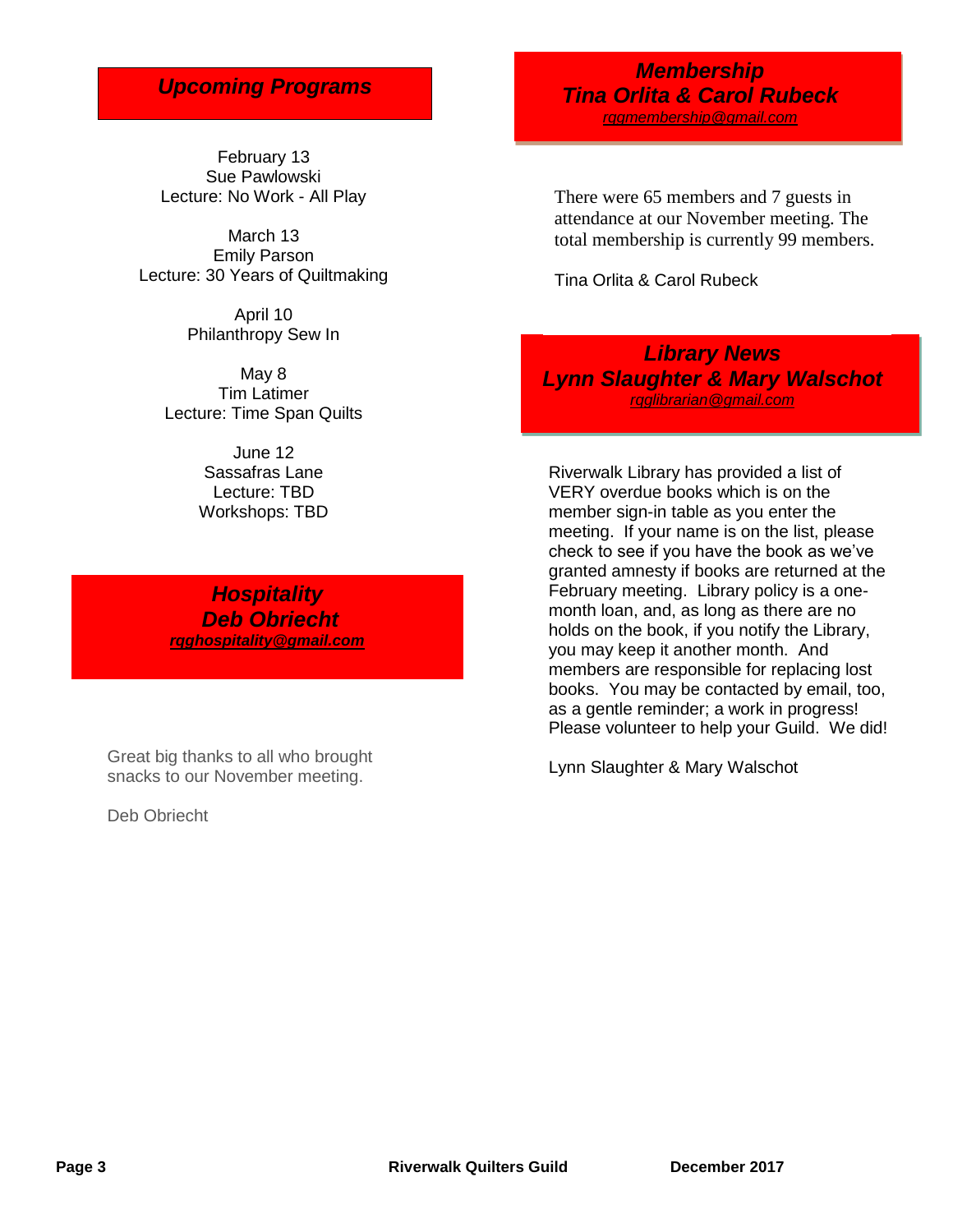# *Upcoming Programs*

February 13 Sue Pawlowski Lecture: No Work - All Play

March 13 Emily Parson Lecture: 30 Years of Quiltmaking

> April 10 Philanthropy Sew In

May 8 Tim Latimer Lecture: Time Span Quilts

> June 12 Sassafras Lane Lecture: TBD Workshops: TBD

*Hospitality Deb Obriecht [rqghospitality@gmail.com](file:///C:/Users/Sandra/Documents/RQG%20Newsletter/rqghospitality@gmail.com)*

Great big thanks to all who brought snacks to our November meeting.

Deb Obriecht

### *Membership Tina Orlita & Carol Rubeck [rqgmembership@gmail.com](mailto:rqgmembership@gmail.com)*

There were 65 members and 7 guests in attendance at our November meeting. The total membership is currently 99 members.

Tina Orlita & Carol Rubeck

*Library News Lynn Slaughter & Mary Walschot [rqglibrarian@gmail.com](mailto:rqglibrarian@gmail.com)*

Riverwalk Library has provided a list of VERY overdue books which is on the member sign-in table as you enter the meeting. If your name is on the list, please check to see if you have the book as we've granted amnesty if books are returned at the February meeting. Library policy is a onemonth loan, and, as long as there are no holds on the book, if you notify the Library, you may keep it another month. And members are responsible for replacing lost books. You may be contacted by email, too, as a gentle reminder; a work in progress! Please volunteer to help your Guild. We did!

Lynn Slaughter & Mary Walschot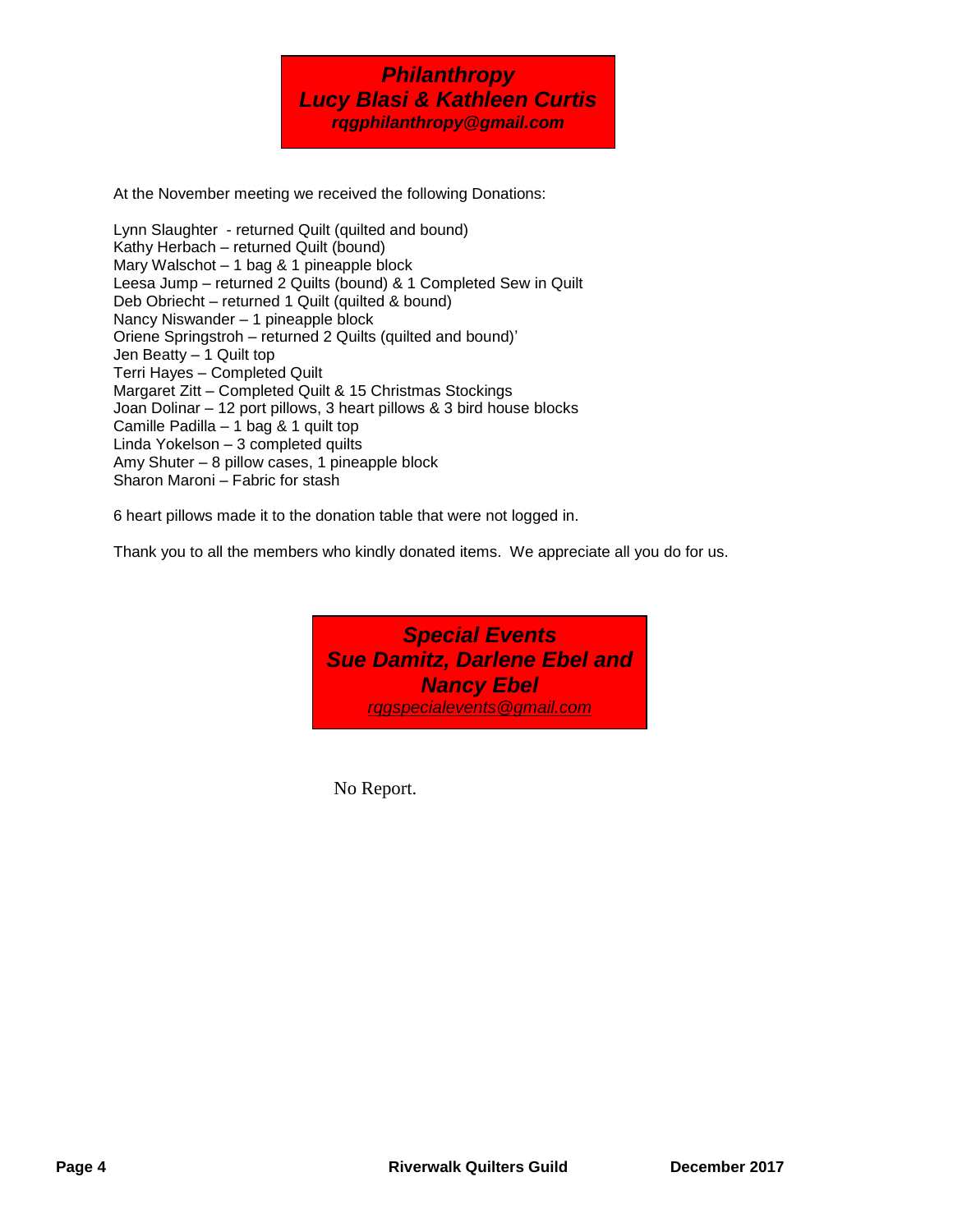

At the November meeting we received the following Donations:

Lynn Slaughter - returned Quilt (quilted and bound) Kathy Herbach – returned Quilt (bound) Mary Walschot – 1 bag & 1 pineapple block Leesa Jump – returned 2 Quilts (bound) & 1 Completed Sew in Quilt Deb Obriecht – returned 1 Quilt (quilted & bound) Nancy Niswander – 1 pineapple block Oriene Springstroh – returned 2 Quilts (quilted and bound)' Jen Beatty – 1 Quilt top Terri Hayes – Completed Quilt Margaret Zitt – Completed Quilt & 15 Christmas Stockings Joan Dolinar – 12 port pillows, 3 heart pillows & 3 bird house blocks Camille Padilla – 1 bag & 1 quilt top Linda Yokelson – 3 completed quilts Amy Shuter – 8 pillow cases, 1 pineapple block Sharon Maroni – Fabric for stash

6 heart pillows made it to the donation table that were not logged in.

Thank you to all the members who kindly donated items. We appreciate all you do for us.

*Special Events Sue Damitz, Darlene Ebel and Nancy Ebel rqgspecialevents@gmail.com*

No Report.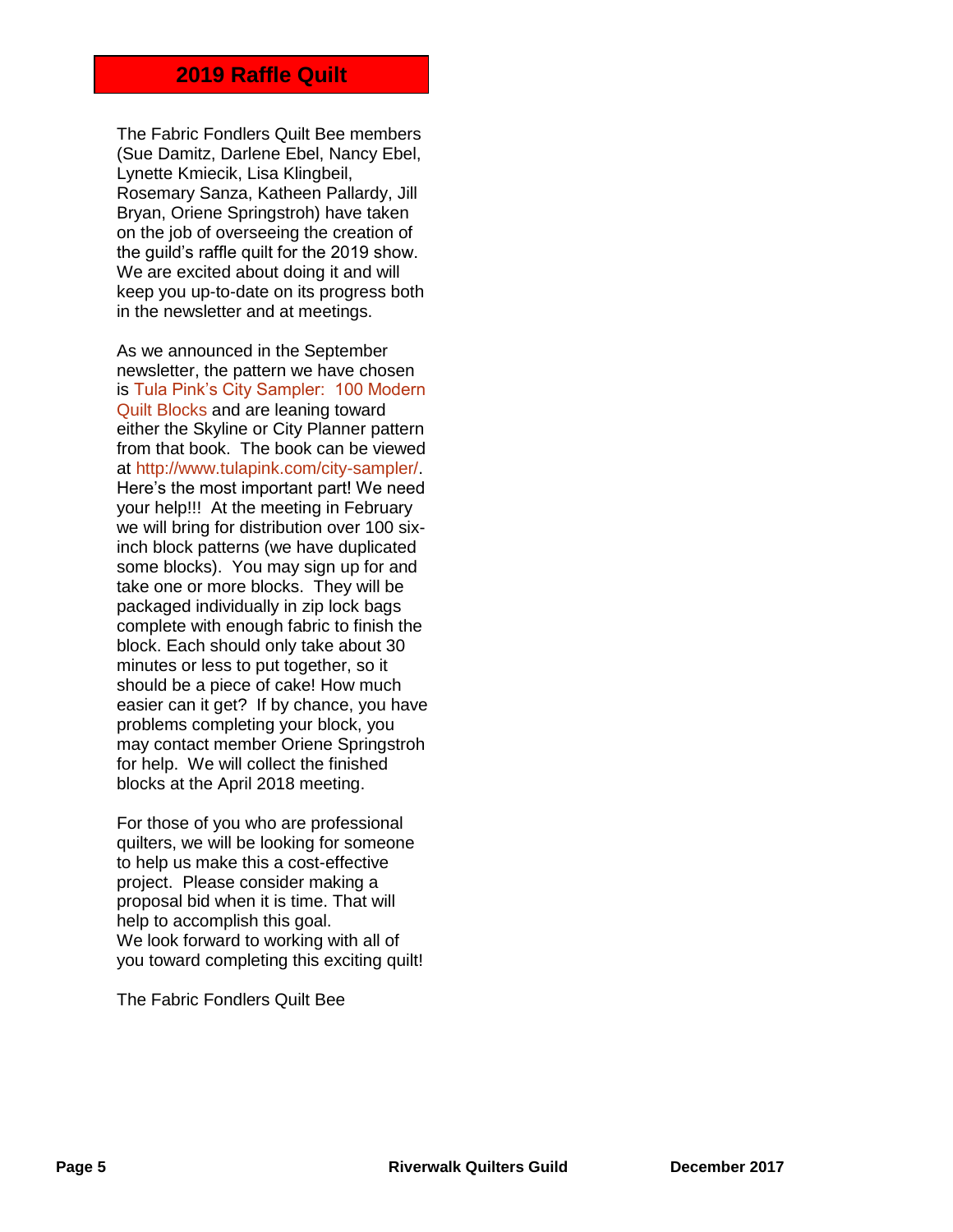### **2019 Raffle Quilt**

The Fabric Fondlers Quilt Bee members (Sue Damitz, Darlene Ebel, Nancy Ebel, Lynette Kmiecik, Lisa Klingbeil, Rosemary Sanza, Katheen Pallardy, Jill Bryan, Oriene Springstroh) have taken on the job of overseeing the creation of the guild's raffle quilt for the 2019 show. We are excited about doing it and will keep you up-to-date on its progress both in the newsletter and at meetings.

As we announced in the September newsletter, the pattern we have chosen is Tula Pink's City Sampler: 100 Modern Quilt Blocks and are leaning toward either the Skyline or City Planner pattern from that book. The book can be viewed at http://www.tulapink.com/city-sampler/. Here's the most important part! We need your help!!! At the meeting in February we will bring for distribution over 100 sixinch block patterns (we have duplicated some blocks). You may sign up for and take one or more blocks. They will be packaged individually in zip lock bags complete with enough fabric to finish the block. Each should only take about 30 minutes or less to put together, so it should be a piece of cake! How much easier can it get? If by chance, you have problems completing your block, you may contact member Oriene Springstroh for help. We will collect the finished blocks at the April 2018 meeting.

For those of you who are professional quilters, we will be looking for someone to help us make this a cost-effective project. Please consider making a proposal bid when it is time. That will help to accomplish this goal. We look forward to working with all of you toward completing this exciting quilt!

The Fabric Fondlers Quilt Bee